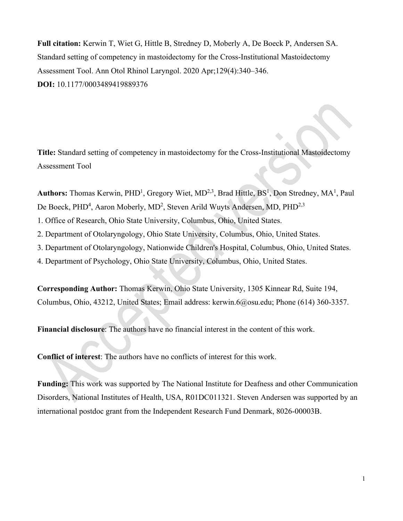**Full citation:** Kerwin T, Wiet G, Hittle B, Stredney D, Moberly A, De Boeck P, Andersen SA. Standard setting of competency in mastoidectomy for the Cross-Institutional Mastoidectomy Assessment Tool. Ann Otol Rhinol Laryngol. 2020 Apr;129(4):340–346. **DOI:** 10.1177/0003489419889376

**Title:** Standard setting of competency in mastoidectomy for the Cross-Institutional Mastoidectomy Assessment Tool

Authors: Thomas Kerwin, PHD<sup>1</sup>, Gregory Wiet, MD<sup>2,3</sup>, Brad Hittle, BS<sup>1</sup>, Don Stredney, MA<sup>1</sup>, Paul De Boeck, PHD<sup>4</sup>, Aaron Moberly, MD<sup>2</sup>, Steven Arild Wuyts Andersen, MD, PHD<sup>2,3</sup>

1. Office of Research, Ohio State University, Columbus, Ohio, United States.

2. Department of Otolaryngology, Ohio State University, Columbus, Ohio, United States.

3. Department of Otolaryngology, Nationwide Children's Hospital, Columbus, Ohio, United States.

4. Department of Psychology, Ohio State University, Columbus, Ohio, United States.

**Corresponding Author:** Thomas Kerwin, Ohio State University, 1305 Kinnear Rd, Suite 194, Columbus, Ohio, 43212, United States; Email address: kerwin.6@osu.edu; Phone (614) 360-3357.

**Financial disclosure**: The authors have no financial interest in the content of this work.

**Conflict of interest**: The authors have no conflicts of interest for this work.

**Funding:** This work was supported by The National Institute for Deafness and other Communication Disorders, National Institutes of Health, USA, R01DC011321. Steven Andersen was supported by an international postdoc grant from the Independent Research Fund Denmark, 8026-00003B.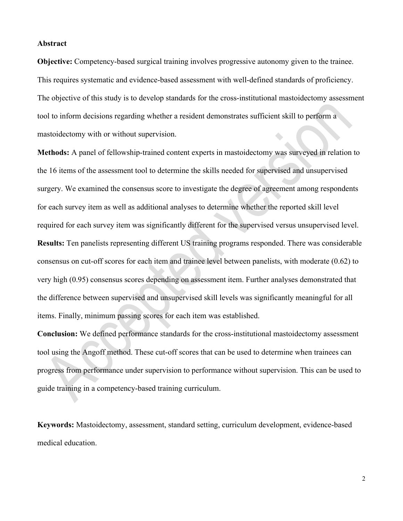## **Abstract**

**Objective:** Competency-based surgical training involves progressive autonomy given to the trainee. This requires systematic and evidence-based assessment with well-defined standards of proficiency. The objective of this study is to develop standards for the cross-institutional mastoidectomy assessment tool to inform decisions regarding whether a resident demonstrates sufficient skill to perform a mastoidectomy with or without supervision.

**Methods:** A panel of fellowship-trained content experts in mastoidectomy was surveyed in relation to the 16 items of the assessment tool to determine the skills needed for supervised and unsupervised surgery. We examined the consensus score to investigate the degree of agreement among respondents for each survey item as well as additional analyses to determine whether the reported skill level required for each survey item was significantly different for the supervised versus unsupervised level. **Results:** Ten panelists representing different US training programs responded. There was considerable consensus on cut-off scores for each item and trainee level between panelists, with moderate (0.62) to very high (0.95) consensus scores depending on assessment item. Further analyses demonstrated that the difference between supervised and unsupervised skill levels was significantly meaningful for all items. Finally, minimum passing scores for each item was established.

**Conclusion:** We defined performance standards for the cross-institutional mastoidectomy assessment tool using the Angoff method. These cut-off scores that can be used to determine when trainees can progress from performance under supervision to performance without supervision. This can be used to guide training in a competency-based training curriculum.

**Keywords:** Mastoidectomy, assessment, standard setting, curriculum development, evidence-based medical education.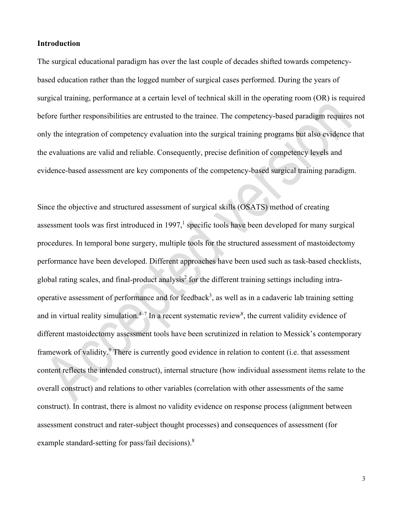## **Introduction**

The surgical educational paradigm has over the last couple of decades shifted towards competencybased education rather than the logged number of surgical cases performed. During the years of surgical training, performance at a certain level of technical skill in the operating room (OR) is required before further responsibilities are entrusted to the trainee. The competency-based paradigm requires not only the integration of competency evaluation into the surgical training programs but also evidence that the evaluations are valid and reliable. Consequently, precise definition of competency levels and evidence-based assessment are key components of the competency-based surgical training paradigm.

Since the objective and structured assessment of surgical skills (OSATS) method of creating assessment tools was first introduced in 1997,<sup>1</sup> specific tools have been developed for many surgical procedures. In temporal bone surgery, multiple tools for the structured assessment of mastoidectomy performance have been developed. Different approaches have been used such as task-based checklists, global rating scales, and final-product analysis<sup>2</sup> for the different training settings including intraoperative assessment of performance and for feedback<sup>3</sup>, as well as in a cadaveric lab training setting and in virtual reality simulation.<sup>4-7</sup> In a recent systematic review<sup>8</sup>, the current validity evidence of different mastoidectomy assessment tools have been scrutinized in relation to Messick's contemporary framework of validity.<sup>9</sup> There is currently good evidence in relation to content (i.e. that assessment content reflects the intended construct), internal structure (how individual assessment items relate to the overall construct) and relations to other variables (correlation with other assessments of the same construct). In contrast, there is almost no validity evidence on response process (alignment between assessment construct and rater-subject thought processes) and consequences of assessment (for example standard-setting for pass/fail decisions).<sup>8</sup>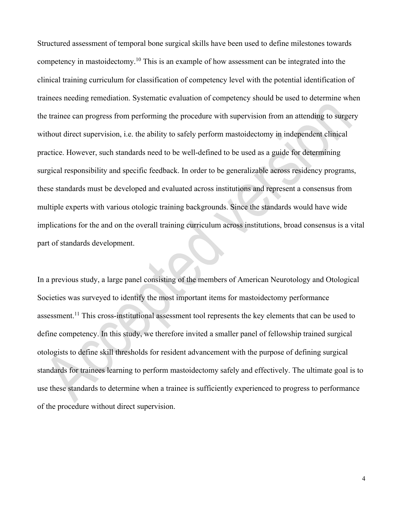Structured assessment of temporal bone surgical skills have been used to define milestones towards competency in mastoidectomy.<sup>10</sup> This is an example of how assessment can be integrated into the clinical training curriculum for classification of competency level with the potential identification of trainees needing remediation. Systematic evaluation of competency should be used to determine when the trainee can progress from performing the procedure with supervision from an attending to surgery without direct supervision, i.e. the ability to safely perform mastoidectomy in independent clinical practice. However, such standards need to be well-defined to be used as a guide for determining surgical responsibility and specific feedback. In order to be generalizable across residency programs, these standards must be developed and evaluated across institutions and represent a consensus from multiple experts with various otologic training backgrounds. Since the standards would have wide implications for the and on the overall training curriculum across institutions, broad consensus is a vital part of standards development.

In a previous study, a large panel consisting of the members of American Neurotology and Otological Societies was surveyed to identify the most important items for mastoidectomy performance assessment.<sup>11</sup> This cross-institutional assessment tool represents the key elements that can be used to define competency. In this study, we therefore invited a smaller panel of fellowship trained surgical otologists to define skill thresholds for resident advancement with the purpose of defining surgical standards for trainees learning to perform mastoidectomy safely and effectively. The ultimate goal is to use these standards to determine when a trainee is sufficiently experienced to progress to performance of the procedure without direct supervision.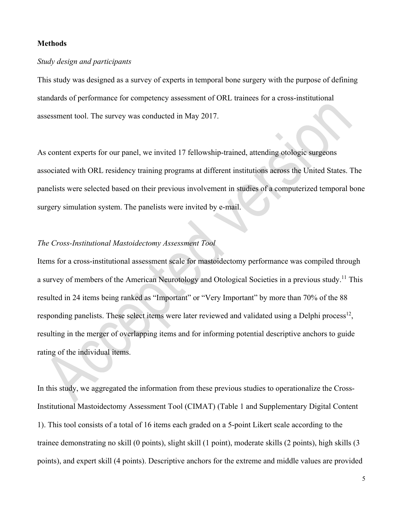## **Methods**

## *Study design and participants*

This study was designed as a survey of experts in temporal bone surgery with the purpose of defining standards of performance for competency assessment of ORL trainees for a cross-institutional assessment tool. The survey was conducted in May 2017.

As content experts for our panel, we invited 17 fellowship-trained, attending otologic surgeons associated with ORL residency training programs at different institutions across the United States. The panelists were selected based on their previous involvement in studies of a computerized temporal bone surgery simulation system. The panelists were invited by e-mail.

## *The Cross-Institutional Mastoidectomy Assessment Tool*

Items for a cross-institutional assessment scale for mastoidectomy performance was compiled through a survey of members of the American Neurotology and Otological Societies in a previous study.<sup>11</sup> This resulted in 24 items being ranked as "Important" or "Very Important" by more than 70% of the 88 responding panelists. These select items were later reviewed and validated using a Delphi process<sup>12</sup>, resulting in the merger of overlapping items and for informing potential descriptive anchors to guide rating of the individual items.

In this study, we aggregated the information from these previous studies to operationalize the Cross-Institutional Mastoidectomy Assessment Tool (CIMAT) (Table 1 and Supplementary Digital Content 1). This tool consists of a total of 16 items each graded on a 5-point Likert scale according to the trainee demonstrating no skill (0 points), slight skill (1 point), moderate skills (2 points), high skills (3 points), and expert skill (4 points). Descriptive anchors for the extreme and middle values are provided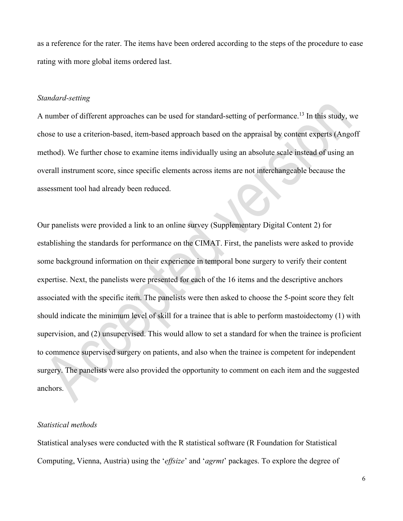as a reference for the rater. The items have been ordered according to the steps of the procedure to ease rating with more global items ordered last.

## *Standard-setting*

A number of different approaches can be used for standard-setting of performance.<sup>13</sup> In this study, we chose to use a criterion-based, item-based approach based on the appraisal by content experts (Angoff method). We further chose to examine items individually using an absolute scale instead of using an overall instrument score, since specific elements across items are not interchangeable because the assessment tool had already been reduced.

Our panelists were provided a link to an online survey (Supplementary Digital Content 2) for establishing the standards for performance on the CIMAT. First, the panelists were asked to provide some background information on their experience in temporal bone surgery to verify their content expertise. Next, the panelists were presented for each of the 16 items and the descriptive anchors associated with the specific item. The panelists were then asked to choose the 5-point score they felt should indicate the minimum level of skill for a trainee that is able to perform mastoidectomy (1) with supervision, and (2) unsupervised. This would allow to set a standard for when the trainee is proficient to commence supervised surgery on patients, and also when the trainee is competent for independent surgery. The panelists were also provided the opportunity to comment on each item and the suggested anchors.

## *Statistical methods*

Statistical analyses were conducted with the R statistical software (R Foundation for Statistical Computing, Vienna, Austria) using the '*effsize*' and '*agrmt*' packages. To explore the degree of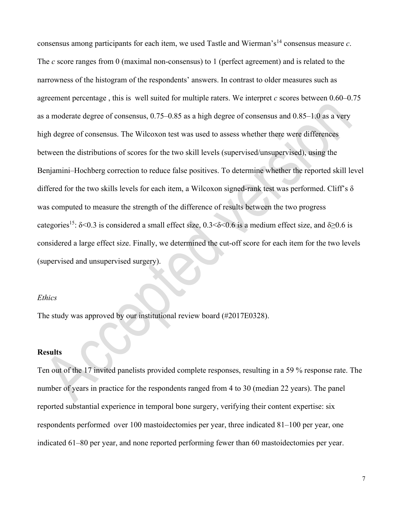consensus among participants for each item, we used Tastle and Wierman's<sup>14</sup> consensus measure  $c$ . The *c* score ranges from 0 (maximal non-consensus) to 1 (perfect agreement) and is related to the narrowness of the histogram of the respondents' answers. In contrast to older measures such as agreement percentage , this is well suited for multiple raters. We interpret *c* scores between 0.60–0.75 as a moderate degree of consensus, 0.75–0.85 as a high degree of consensus and 0.85–1.0 as a very high degree of consensus. The Wilcoxon test was used to assess whether there were differences between the distributions of scores for the two skill levels (supervised/unsupervised), using the Benjamini–Hochberg correction to reduce false positives. To determine whether the reported skill level differed for the two skills levels for each item, a Wilcoxon signed-rank test was performed. Cliff's δ was computed to measure the strength of the difference of results between the two progress categories<sup>15</sup>:  $\delta$ <0.3 is considered a small effect size, 0.3< $\delta$ <0.6 is a medium effect size, and  $\delta$ >0.6 is considered a large effect size. Finally, we determined the cut-off score for each item for the two levels (supervised and unsupervised surgery).

#### *Ethics*

The study was approved by our institutional review board (#2017E0328).

## **Results**

Ten out of the 17 invited panelists provided complete responses, resulting in a 59 % response rate. The number of years in practice for the respondents ranged from 4 to 30 (median 22 years). The panel reported substantial experience in temporal bone surgery, verifying their content expertise: six respondents performed over 100 mastoidectomies per year, three indicated 81–100 per year, one indicated 61–80 per year, and none reported performing fewer than 60 mastoidectomies per year.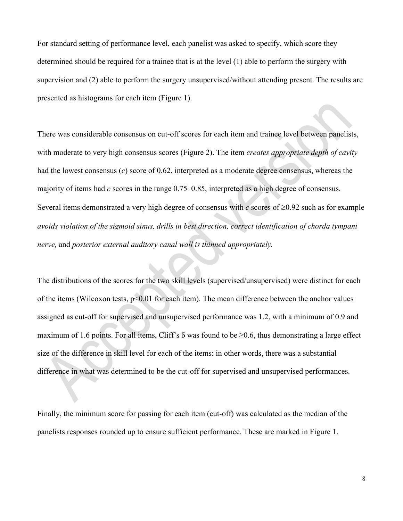For standard setting of performance level, each panelist was asked to specify, which score they determined should be required for a trainee that is at the level (1) able to perform the surgery with supervision and (2) able to perform the surgery unsupervised/without attending present. The results are presented as histograms for each item (Figure 1).

There was considerable consensus on cut-off scores for each item and trainee level between panelists, with moderate to very high consensus scores (Figure 2). The item *creates appropriate depth of cavity* had the lowest consensus (*c*) score of 0.62, interpreted as a moderate degree consensus, whereas the majority of items had *c* scores in the range 0.75–0.85, interpreted as a high degree of consensus. Several items demonstrated a very high degree of consensus with *c* scores of ≥0.92 such as for example *avoids violation of the sigmoid sinus, drills in best direction, correct identification of chorda tympani nerve,* and *posterior external auditory canal wall is thinned appropriately.*

The distributions of the scores for the two skill levels (supervised/unsupervised) were distinct for each of the items (Wilcoxon tests, p<0.01 for each item). The mean difference between the anchor values assigned as cut-off for supervised and unsupervised performance was 1.2, with a minimum of 0.9 and maximum of 1.6 points. For all items, Cliff's  $\delta$  was found to be  $\geq 0.6$ , thus demonstrating a large effect size of the difference in skill level for each of the items: in other words, there was a substantial difference in what was determined to be the cut-off for supervised and unsupervised performances.

Finally, the minimum score for passing for each item (cut-off) was calculated as the median of the panelists responses rounded up to ensure sufficient performance. These are marked in Figure 1.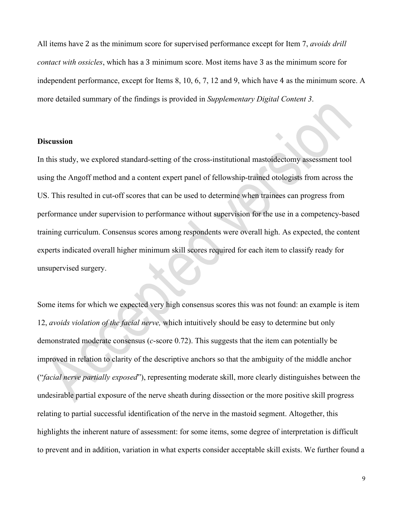All items have 2 as the minimum score for supervised performance except for Item 7, *avoids drill contact with ossicles*, which has a 3 minimum score. Most items have 3 as the minimum score for independent performance, except for Items 8, 10, 6, 7, 12 and 9, which have 4 as the minimum score. A more detailed summary of the findings is provided in *Supplementary Digital Content 3*.

#### **Discussion**

In this study, we explored standard-setting of the cross-institutional mastoidectomy assessment tool using the Angoff method and a content expert panel of fellowship-trained otologists from across the US. This resulted in cut-off scores that can be used to determine when trainees can progress from performance under supervision to performance without supervision for the use in a competency-based training curriculum. Consensus scores among respondents were overall high. As expected, the content experts indicated overall higher minimum skill scores required for each item to classify ready for unsupervised surgery.

Some items for which we expected very high consensus scores this was not found: an example is item 12, *avoids violation of the facial nerve,* which intuitively should be easy to determine but only demonstrated moderate consensus (*c*-score 0.72). This suggests that the item can potentially be improved in relation to clarity of the descriptive anchors so that the ambiguity of the middle anchor ("*facial nerve partially exposed*"), representing moderate skill, more clearly distinguishes between the undesirable partial exposure of the nerve sheath during dissection or the more positive skill progress relating to partial successful identification of the nerve in the mastoid segment. Altogether, this highlights the inherent nature of assessment: for some items, some degree of interpretation is difficult to prevent and in addition, variation in what experts consider acceptable skill exists. We further found a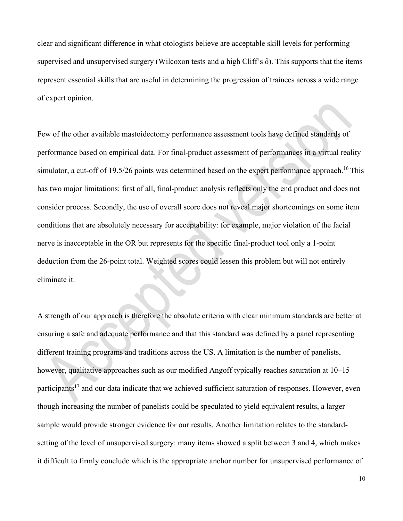clear and significant difference in what otologists believe are acceptable skill levels for performing supervised and unsupervised surgery (Wilcoxon tests and a high Cliff's  $\delta$ ). This supports that the items represent essential skills that are useful in determining the progression of trainees across a wide range of expert opinion.

Few of the other available mastoidectomy performance assessment tools have defined standards of performance based on empirical data. For final-product assessment of performances in a virtual reality simulator, a cut-off of 19.5/26 points was determined based on the expert performance approach.<sup>16</sup> This has two major limitations: first of all, final-product analysis reflects only the end product and does not consider process. Secondly, the use of overall score does not reveal major shortcomings on some item conditions that are absolutely necessary for acceptability: for example, major violation of the facial nerve is inacceptable in the OR but represents for the specific final-product tool only a 1-point deduction from the 26-point total. Weighted scores could lessen this problem but will not entirely eliminate it.

A strength of our approach is therefore the absolute criteria with clear minimum standards are better at ensuring a safe and adequate performance and that this standard was defined by a panel representing different training programs and traditions across the US. A limitation is the number of panelists, however, qualitative approaches such as our modified Angoff typically reaches saturation at 10–15 participants<sup>17</sup> and our data indicate that we achieved sufficient saturation of responses. However, even though increasing the number of panelists could be speculated to yield equivalent results, a larger sample would provide stronger evidence for our results. Another limitation relates to the standardsetting of the level of unsupervised surgery: many items showed a split between 3 and 4, which makes it difficult to firmly conclude which is the appropriate anchor number for unsupervised performance of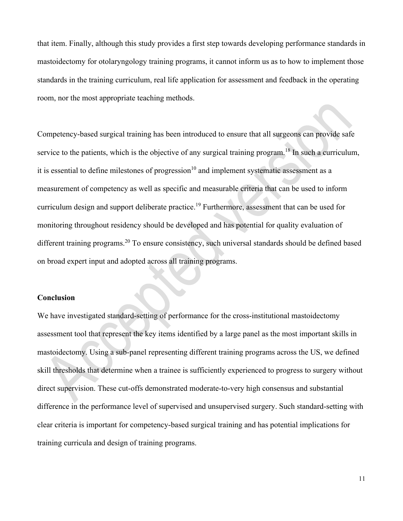that item. Finally, although this study provides a first step towards developing performance standards in mastoidectomy for otolaryngology training programs, it cannot inform us as to how to implement those standards in the training curriculum, real life application for assessment and feedback in the operating room, nor the most appropriate teaching methods.

Competency-based surgical training has been introduced to ensure that all surgeons can provide safe service to the patients, which is the objective of any surgical training program.<sup>18</sup> In such a curriculum, it is essential to define milestones of progression<sup>10</sup> and implement systematic assessment as a measurement of competency as well as specific and measurable criteria that can be used to inform curriculum design and support deliberate practice.<sup>19</sup> Furthermore, assessment that can be used for monitoring throughout residency should be developed and has potential for quality evaluation of different training programs.<sup>20</sup> To ensure consistency, such universal standards should be defined based on broad expert input and adopted across all training programs.

#### **Conclusion**

We have investigated standard-setting of performance for the cross-institutional mastoidectomy assessment tool that represent the key items identified by a large panel as the most important skills in mastoidectomy. Using a sub-panel representing different training programs across the US, we defined skill thresholds that determine when a trainee is sufficiently experienced to progress to surgery without direct supervision. These cut-offs demonstrated moderate-to-very high consensus and substantial difference in the performance level of supervised and unsupervised surgery. Such standard-setting with clear criteria is important for competency-based surgical training and has potential implications for training curricula and design of training programs.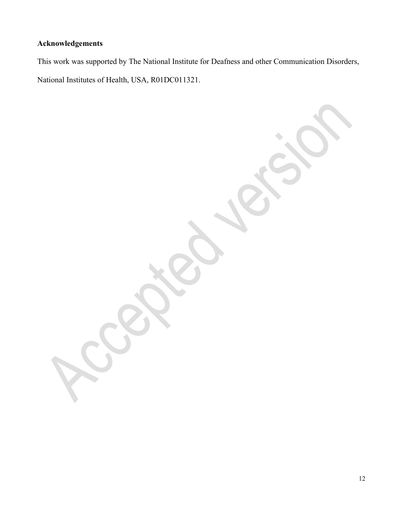# **Acknowledgements**

This work was supported by The National Institute for Deafness and other Communication Disorders, National Institutes of Health, USA, R01DC011321.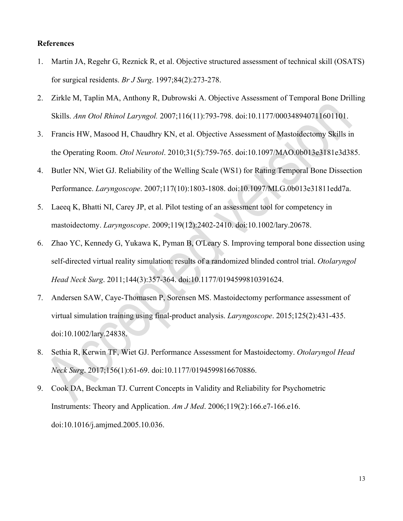## **References**

- 1. Martin JA, Regehr G, Reznick R, et al. Objective structured assessment of technical skill (OSATS) for surgical residents. *Br J Surg*. 1997;84(2):273-278.
- 2. Zirkle M, Taplin MA, Anthony R, Dubrowski A. Objective Assessment of Temporal Bone Drilling Skills. *Ann Otol Rhinol Laryngol.* 2007;116(11):793-798. doi:10.1177/000348940711601101.
- 3. Francis HW, Masood H, Chaudhry KN, et al. Objective Assessment of Mastoidectomy Skills in the Operating Room. *Otol Neurotol*. 2010;31(5):759-765. doi:10.1097/MAO.0b013e3181e3d385.
- 4. Butler NN, Wiet GJ. Reliability of the Welling Scale (WS1) for Rating Temporal Bone Dissection Performance. *Laryngoscope*. 2007;117(10):1803-1808. doi:10.1097/MLG.0b013e31811edd7a.
- 5. Laeeq K, Bhatti NI, Carey JP, et al. Pilot testing of an assessment tool for competency in mastoidectomy. *Laryngoscope*. 2009;119(12):2402-2410. doi:10.1002/lary.20678.
- 6. Zhao YC, Kennedy G, Yukawa K, Pyman B, O'Leary S. Improving temporal bone dissection using self-directed virtual reality simulation: results of a randomized blinded control trial. *Otolaryngol Head Neck Surg*. 2011;144(3):357-364. doi:10.1177/0194599810391624.
- 7. Andersen SAW, Caye-Thomasen P, Sorensen MS. Mastoidectomy performance assessment of virtual simulation training using final-product analysis. *Laryngoscope*. 2015;125(2):431-435. doi:10.1002/lary.24838.
- 8. Sethia R, Kerwin TF, Wiet GJ. Performance Assessment for Mastoidectomy. *Otolaryngol Head Neck Surg*. 2017;156(1):61-69. doi:10.1177/0194599816670886.
- 9. Cook DA, Beckman TJ. Current Concepts in Validity and Reliability for Psychometric Instruments: Theory and Application. *Am J Med*. 2006;119(2):166.e7-166.e16. doi:10.1016/j.amjmed.2005.10.036.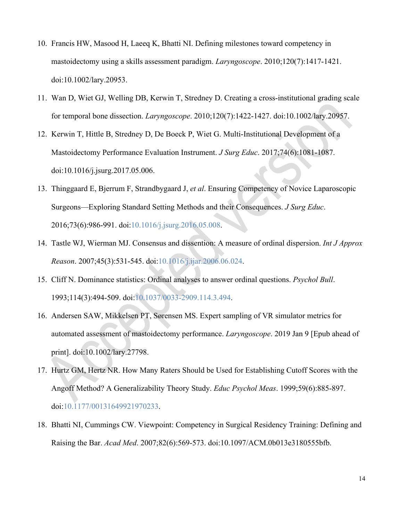- 10. Francis HW, Masood H, Laeeq K, Bhatti NI. Defining milestones toward competency in mastoidectomy using a skills assessment paradigm. *Laryngoscope*. 2010;120(7):1417-1421. doi:10.1002/lary.20953.
- 11. Wan D, Wiet GJ, Welling DB, Kerwin T, Stredney D. Creating a cross-institutional grading scale for temporal bone dissection. *Laryngoscope*. 2010;120(7):1422-1427. doi:10.1002/lary.20957.
- 12. Kerwin T, Hittle B, Stredney D, De Boeck P, Wiet G. Multi-Institutional Development of a Mastoidectomy Performance Evaluation Instrument. *J Surg Educ*. 2017;74(6):1081-1087. doi:10.1016/j.jsurg.2017.05.006.
- 13. Thinggaard E, Bjerrum F, Strandbygaard J, *et al*. Ensuring Competency of Novice Laparoscopic Surgeons—Exploring Standard Setting Methods and their Consequences. *J Surg Educ*. 2016;73(6):986-991. doi[:10.1016/j.jsurg.2016.05.008.](https://doi.org/10.1016/j.jsurg.2016.05.008)
- 14. Tastle WJ, Wierman MJ. Consensus and dissention: A measure of ordinal dispersion. *Int J Approx Reason*. 2007;45(3):531-545. doi[:10.1016/j.ijar.2006.06.024.](https://doi.org/10.1016/j.ijar.2006.06.024)
- 15. Cliff N. Dominance statistics: Ordinal analyses to answer ordinal questions. *Psychol Bull*. 1993;114(3):494-509. doi[:10.1037/0033-2909.114.3.494.](https://doi.org/10.1037/0033-2909.114.3.494)
- 16. Andersen SAW, Mikkelsen PT, Sørensen MS. Expert sampling of VR simulator metrics for automated assessment of mastoidectomy performance. *Laryngoscope*. 2019 Jan 9 [Epub ahead of print]. doi:10.1002/lary.27798.
- 17. Hurtz GM, Hertz NR. How Many Raters Should be Used for Establishing Cutoff Scores with the Angoff Method? A Generalizability Theory Study. *Educ Psychol Meas*. 1999;59(6):885-897. doi[:10.1177/00131649921970233.](https://doi.org/10.1177/00131649921970233)
- 18. Bhatti NI, Cummings CW. Viewpoint: Competency in Surgical Residency Training: Defining and Raising the Bar. *Acad Med*. 2007;82(6):569-573. doi:10.1097/ACM.0b013e3180555bfb.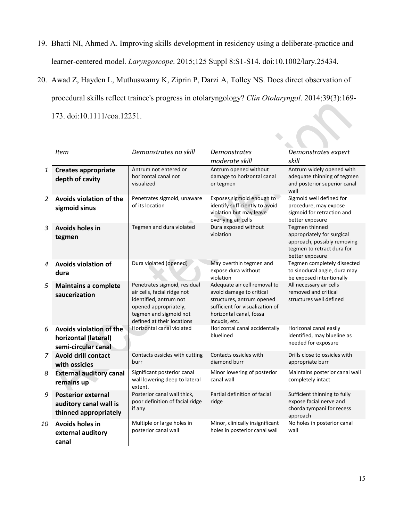- 19. Bhatti NI, Ahmed A. Improving skills development in residency using a deliberate-practice and learner-centered model. *Laryngoscope*. 2015;125 Suppl 8:S1-S14. doi:10.1002/lary.25434.
- 20. Awad Z, Hayden L, Muthuswamy K, Ziprin P, Darzi A, Tolley NS. Does direct observation of procedural skills reflect trainee's progress in otolaryngology? *Clin Otolaryngol*. 2014;39(3):169- 173. doi:10.1111/coa.12251.

|    | <b>Item</b>                                                                   | Demonstrates no skill                                                                                                                                                  | <b>Demonstrates</b><br>moderate skill                                                                                                                                | Demonstrates expert<br>skill                                                                                                 |
|----|-------------------------------------------------------------------------------|------------------------------------------------------------------------------------------------------------------------------------------------------------------------|----------------------------------------------------------------------------------------------------------------------------------------------------------------------|------------------------------------------------------------------------------------------------------------------------------|
| 1  | <b>Creates appropriate</b><br>depth of cavity                                 | Antrum not entered or<br>horizontal canal not<br>visualized                                                                                                            | Antrum opened without<br>damage to horizontal canal<br>or tegmen                                                                                                     | Antrum widely opened with<br>adequate thinning of tegmen<br>and posterior superior canal<br>wall                             |
| 2  | Avoids violation of the<br>sigmoid sinus                                      | Penetrates sigmoid, unaware<br>of its location                                                                                                                         | Exposes sigmoid enough to<br>identify sufficiently to avoid<br>violation but may leave<br>overlying air cells                                                        | Sigmoid well defined for<br>procedure, may expose<br>sigmoid for retraction and<br>better exposure                           |
| 3  | <b>Avoids holes in</b><br>tegmen                                              | Tegmen and dura violated                                                                                                                                               | Dura exposed without<br>violation                                                                                                                                    | Tegmen thinned<br>appropriately for surgical<br>approach, possibly removing<br>tegmen to retract dura for<br>better exposure |
| 4  | <b>Avoids violation of</b><br>dura                                            | Dura violated (opened)                                                                                                                                                 | May overthin tegmen and<br>expose dura without<br>violation                                                                                                          | Tegmen completely dissected<br>to sinodural angle, dura may<br>be exposed intentionally                                      |
| 5  | <b>Maintains a complete</b><br>saucerization                                  | Penetrates sigmoid, residual<br>air cells, facial ridge not<br>identified, antrum not<br>opened appropriately,<br>tegmen and sigmoid not<br>defined at their locations | Adequate air cell removal to<br>avoid damage to critical<br>structures, antrum opened<br>sufficient for visualization of<br>horizontal canal, fossa<br>incudis, etc. | All necessary air cells<br>removed and critical<br>structures well defined                                                   |
| 6  | <b>Avoids violation of the</b><br>horizontal (lateral)<br>semi-circular canal | Horizontal canal violated                                                                                                                                              | Horizontal canal accidentally<br>bluelined                                                                                                                           | Horizonal canal easily<br>identified, may blueline as<br>needed for exposure                                                 |
| 7  | <b>Avoid drill contact</b><br>with ossicles                                   | Contacts ossicles with cutting<br>burr                                                                                                                                 | Contacts ossicles with<br>diamond burr                                                                                                                               | Drills close to ossicles with<br>appropriate burr                                                                            |
| 8  | <b>External auditory canal</b><br>remains up                                  | Significant posterior canal<br>wall lowering deep to lateral<br>extent.                                                                                                | Minor lowering of posterior<br>canal wall                                                                                                                            | Maintains posterior canal wall<br>completely intact                                                                          |
| 9  | <b>Posterior external</b><br>auditory canal wall is<br>thinned appropriately  | Posterior canal wall thick,<br>poor definition of facial ridge<br>if any                                                                                               | Partial definition of facial<br>ridge                                                                                                                                | Sufficient thinning to fully<br>expose facial nerve and<br>chorda tympani for recess<br>approach                             |
| 10 | Avoids holes in<br>external auditory<br>canal                                 | Multiple or large holes in<br>posterior canal wall                                                                                                                     | Minor, clinically insignificant<br>holes in posterior canal wall                                                                                                     | No holes in posterior canal<br>wall                                                                                          |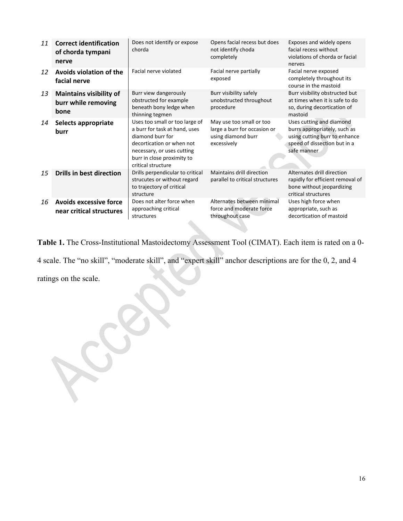| 11 | <b>Correct identification</b><br>of chorda tympani<br>nerve   | Does not identify or expose<br>chorda                                                                                                                                                              | Opens facial recess but does<br>not identify choda<br>completely                              | Exposes and widely opens<br>facial recess without<br>violations of chorda or facial<br>nerves                                            |
|----|---------------------------------------------------------------|----------------------------------------------------------------------------------------------------------------------------------------------------------------------------------------------------|-----------------------------------------------------------------------------------------------|------------------------------------------------------------------------------------------------------------------------------------------|
| 12 | Avoids violation of the<br>facial nerve                       | Facial nerve violated                                                                                                                                                                              | Facial nerve partially<br>exposed                                                             | Facial nerve exposed<br>completely throughout its<br>course in the mastoid                                                               |
| 13 | <b>Maintains visibility of</b><br>burr while removing<br>bone | Burr view dangerously<br>obstructed for example<br>beneath bony ledge when<br>thinning tegmen                                                                                                      | Burr visibility safely<br>unobstructed throughout<br>procedure                                | Burr visibility obstructed but<br>at times when it is safe to do<br>so, during decortication of<br>mastoid                               |
| 14 | Selects appropriate<br>burr                                   | Uses too small or too large of<br>a burr for task at hand, uses<br>diamond burr for<br>decortication or when not<br>necessary, or uses cutting<br>burr in close proximity to<br>critical structure | May use too small or too<br>large a burr for occasion or<br>using diamond burr<br>excessively | Uses cutting and diamond<br>burrs appropriately, such as<br>using cutting burr to enhance<br>speed of dissection but in a<br>safe manner |
| 15 | <b>Drills in best direction</b>                               | Drills perpendicular to critical<br>strucutes or without regard<br>to trajectory of critical<br>structure                                                                                          | Maintains drill direction<br>parallel to critical structures                                  | Alternates drill direction<br>rapidly for efficient removal of<br>bone without jeopardizing<br>critical structures                       |
| 16 | <b>Avoids excessive force</b><br>near critical structures     | Does not alter force when<br>approaching critical<br>structures                                                                                                                                    | Alternates between minimal<br>force and moderate force<br>throughout case                     | Uses high force when<br>appropriate, such as<br>decortication of mastoid                                                                 |

**Table 1.** The Cross-Institutional Mastoidectomy Assessment Tool (CIMAT). Each item is rated on a 0- 4 scale. The "no skill", "moderate skill", and "expert skill" anchor descriptions are for the 0, 2, and 4 ratings on the scale.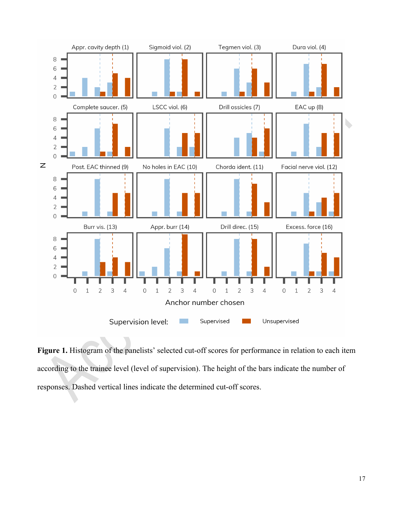

Figure 1. Histogram of the panelists' selected cut-off scores for performance in relation to each item according to the trainee level (level of supervision). The height of the bars indicate the number of responses. Dashed vertical lines indicate the determined cut-off scores.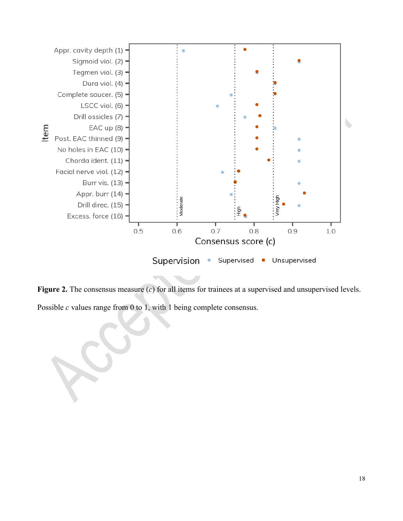

**Figure 2.** The consensus measure (*c*) for all items for trainees at a supervised and unsupervised levels. Possible *c* values range from 0 to 1, with 1 being complete consensus.

18